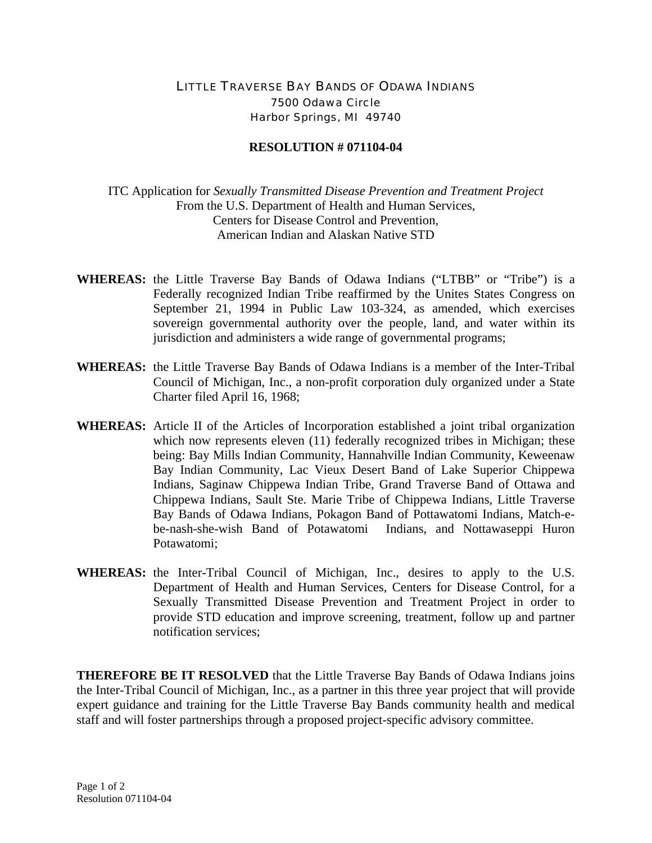## LITTLE TRAVERSE BAY BANDS OF ODAWA INDIANS 7500 Odawa Circle Harbor Springs, MI 49740

## **RESOLUTION # 071104-04**

ITC Application for *Sexually Transmitted Disease Prevention and Treatment Project* From the U.S. Department of Health and Human Services, Centers for Disease Control and Prevention, American Indian and Alaskan Native STD

- **WHEREAS:** the Little Traverse Bay Bands of Odawa Indians ("LTBB" or "Tribe") is a Federally recognized Indian Tribe reaffirmed by the Unites States Congress on September 21, 1994 in Public Law 103-324, as amended, which exercises sovereign governmental authority over the people, land, and water within its jurisdiction and administers a wide range of governmental programs;
- **WHEREAS:** the Little Traverse Bay Bands of Odawa Indians is a member of the Inter-Tribal Council of Michigan, Inc., a non-profit corporation duly organized under a State Charter filed April 16, 1968;
- **WHEREAS:** Article II of the Articles of Incorporation established a joint tribal organization which now represents eleven (11) federally recognized tribes in Michigan; these being: Bay Mills Indian Community, Hannahville Indian Community, Keweenaw Bay Indian Community, Lac Vieux Desert Band of Lake Superior Chippewa Indians, Saginaw Chippewa Indian Tribe, Grand Traverse Band of Ottawa and Chippewa Indians, Sault Ste. Marie Tribe of Chippewa Indians, Little Traverse Bay Bands of Odawa Indians, Pokagon Band of Pottawatomi Indians, Match-ebe-nash-she-wish Band of Potawatomi Indians, and Nottawaseppi Huron Potawatomi;
- **WHEREAS:** the Inter-Tribal Council of Michigan, Inc., desires to apply to the U.S. Department of Health and Human Services, Centers for Disease Control, for a Sexually Transmitted Disease Prevention and Treatment Project in order to provide STD education and improve screening, treatment, follow up and partner notification services;

**THEREFORE BE IT RESOLVED** that the Little Traverse Bay Bands of Odawa Indians joins the Inter-Tribal Council of Michigan, Inc., as a partner in this three year project that will provide expert guidance and training for the Little Traverse Bay Bands community health and medical staff and will foster partnerships through a proposed project-specific advisory committee.